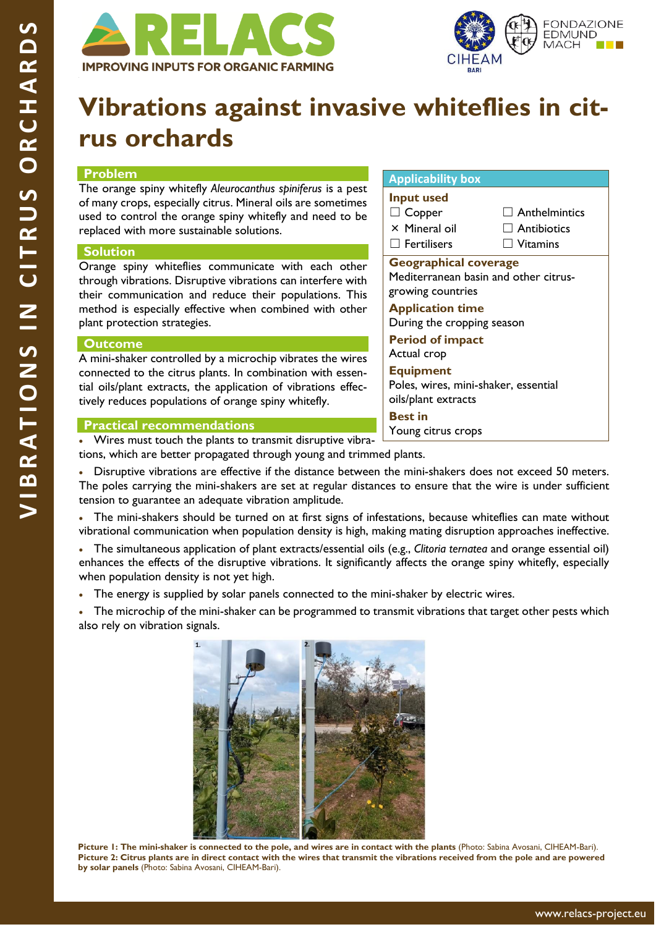



# **Vibrations against invasive whiteflies in citrus orchards**

# **Problem**

The orange spiny whitefly *Aleurocanthus spiniferus* is a pest of many crops, especially citrus. Mineral oils are sometimes used to control the orange spiny whitefly and need to be replaced with more sustainable solutions.

## **Solution**

Orange spiny whiteflies communicate with each other through vibrations. Disruptive vibrations can interfere with their communication and reduce their populations. This method is especially effective when combined with other plant protection strategies.

#### **Outcome**

A mini-shaker controlled by a microchip vibrates the wires connected to the citrus plants. In combination with essential oils/plant extracts, the application of vibrations effectively reduces populations of orange spiny whitefly.

## **Applicability box Input used** ☐ Copper × Mineral oil  $\Box$  Fertilisers  $\Box$  Anthelmintics  $\Box$  Antibiotics ☐ Vitamins **Geographical coverage**  Mediterranean basin and other citrusgrowing countries **Application time** During the cropping season **Period of impact** Actual crop **Equipment** Poles, wires, mini-shaker, essential oils/plant extracts **Best in** Young citrus crops

## **Practical recommendations**

• Wires must touch the plants to transmit disruptive vibrations, which are better propagated through young and trimmed plants.

• Disruptive vibrations are effective if the distance between the mini-shakers does not exceed 50 meters. The poles carrying the mini-shakers are set at regular distances to ensure that the wire is under sufficient tension to guarantee an adequate vibration amplitude.

• The mini-shakers should be turned on at first signs of infestations, because whiteflies can mate without vibrational communication when population density is high, making mating disruption approaches ineffective.

• The simultaneous application of plant extracts/essential oils (e.g., *Clitoria ternatea* and orange essential oil) enhances the effects of the disruptive vibrations. It significantly affects the orange spiny whitefly, especially when population density is not yet high.

• The energy is supplied by solar panels connected to the mini-shaker by electric wires.

The microchip of the mini-shaker can be programmed to transmit vibrations that target other pests which also rely on vibration signals.



**Picture 1: The mini-shaker is connected to the pole, and wires are in contact with the plants** (Photo: Sabina Avosani, CIHEAM-Bari). **Picture 2: Citrus plants are in direct contact with the wires that transmit the vibrations received from the pole and are powered by solar panels** (Photo: Sabina Avosani, CIHEAM-Bari).